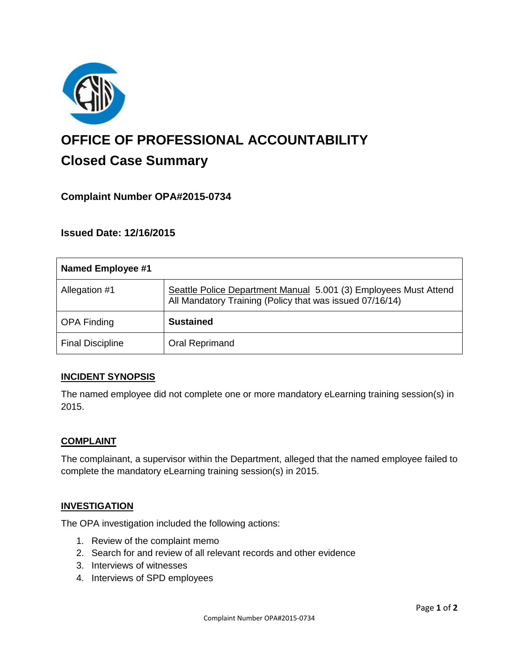

# **OFFICE OF PROFESSIONAL ACCOUNTABILITY Closed Case Summary**

# **Complaint Number OPA#2015-0734**

**Issued Date: 12/16/2015**

| Named Employee #1       |                                                                                                                              |
|-------------------------|------------------------------------------------------------------------------------------------------------------------------|
| Allegation #1           | Seattle Police Department Manual 5.001 (3) Employees Must Attend<br>All Mandatory Training (Policy that was issued 07/16/14) |
| <b>OPA Finding</b>      | <b>Sustained</b>                                                                                                             |
| <b>Final Discipline</b> | Oral Reprimand                                                                                                               |

#### **INCIDENT SYNOPSIS**

The named employee did not complete one or more mandatory eLearning training session(s) in 2015.

#### **COMPLAINT**

The complainant, a supervisor within the Department, alleged that the named employee failed to complete the mandatory eLearning training session(s) in 2015.

#### **INVESTIGATION**

The OPA investigation included the following actions:

- 1. Review of the complaint memo
- 2. Search for and review of all relevant records and other evidence
- 3. Interviews of witnesses
- 4. Interviews of SPD employees